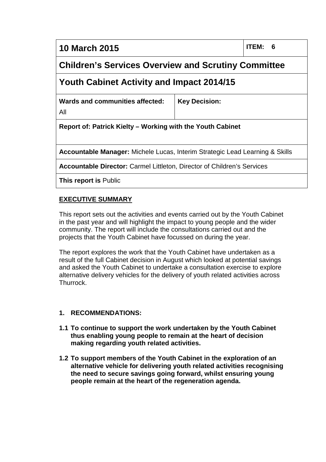# **10 March 2015 ITEM: 6**

# **Children's Services Overview and Scrutiny Committee**

# **Youth Cabinet Activity and Impact 2014/15**

**Wards and communities affected:**

All

**Key Decision:**

**Report of: Patrick Kielty – Working with the Youth Cabinet**

**Accountable Manager:** Michele Lucas, Interim Strategic Lead Learning & Skills

**Accountable Director:** Carmel Littleton, Director of Children's Services

**This report is** Public

### **EXECUTIVE SUMMARY**

This report sets out the activities and events carried out by the Youth Cabinet in the past year and will highlight the impact to young people and the wider community. The report will include the consultations carried out and the projects that the Youth Cabinet have focussed on during the year.

The report explores the work that the Youth Cabinet have undertaken as a result of the full Cabinet decision in August which looked at potential savings and asked the Youth Cabinet to undertake a consultation exercise to explore alternative delivery vehicles for the delivery of youth related activities across Thurrock.

#### **1. RECOMMENDATIONS:**

- **1.1 To continue to support the work undertaken by the Youth Cabinet thus enabling young people to remain at the heart of decision making regarding youth related activities.**
- **1.2 To support members of the Youth Cabinet in the exploration of an alternative vehicle for delivering youth related activities recognising the need to secure savings going forward, whilst ensuring young people remain at the heart of the regeneration agenda.**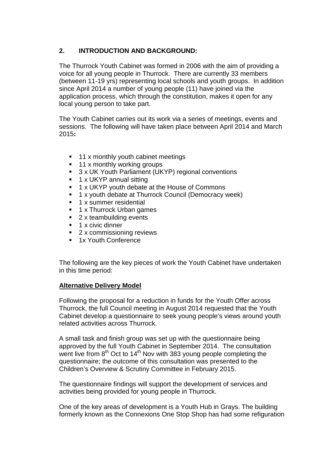# **2. INTRODUCTION AND BACKGROUND:**

The Thurrock Youth Cabinet was formed in 2006 with the aim of providing a voice for all young people in Thurrock. There are currently 33 members (between 11-19 yrs) representing local schools and youth groups. In addition since April 2014 a number of young people (11) have joined via the application process, which through the constitution, makes it open for any local young person to take part.

The Youth Cabinet carries out its work via a series of meetings, events and sessions. The following will have taken place between April 2014 and March 2015**:**

- $\blacksquare$  11 x monthly youth cabinet meetings
- 11 x monthly working groups
- 3 x UK Youth Parliament (UKYP) regional conventions
- $\blacksquare$  1 x UKYP annual sitting
- **1 x UKYP youth debate at the House of Commons**
- **1 x youth debate at Thurrock Council (Democracy week)**
- **1 x summer residential**
- **1 x Thurrock Urban games**
- 2 x teambuilding events
- $\blacksquare$  1 x civic dinner
- 2 x commissioning reviews
- **1x Youth Conference**

The following are the key pieces of work the Youth Cabinet have undertaken in this time period:

# **Alternative Delivery Model**

Following the proposal for a reduction in funds for the Youth Offer across Thurrock, the full Council meeting in August 2014 requested that the Youth Cabinet develop a questionnaire to seek young people's views around youth related activities across Thurrock.

A small task and finish group was set up with the questionnaire being approved by the full Youth Cabinet in September 2014. The consultation went live from  $8<sup>th</sup>$  Oct to 14<sup>th</sup> Nov with 383 young people completing the questionnaire; the outcome of this consultation was presented to the Children's Overview & Scrutiny Committee in February 2015.

The questionnaire findings will support the development of services and activities being provided for young people in Thurrock.

One of the key areas of development is a Youth Hub in Grays. The building formerly known as the Connexions One Stop Shop has had some refiguration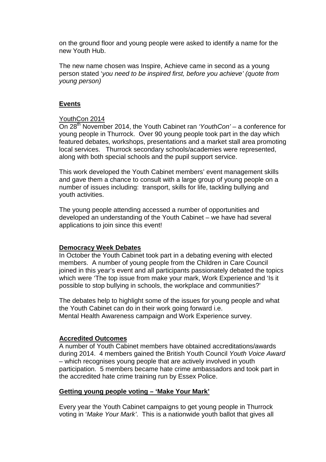on the ground floor and young people were asked to identify a name for the new Youth Hub.

The new name chosen was Inspire, Achieve came in second as a young person stated '*you need to be inspired first, before you achieve' (quote from young person)*

#### **Events**

#### YouthCon 2014

On 28th November 2014, the Youth Cabinet ran *'YouthCon'* – a conference for young people in Thurrock. Over 90 young people took part in the day which featured debates, workshops, presentations and a market stall area promoting local services. Thurrock secondary schools/academies were represented, along with both special schools and the pupil support service.

This work developed the Youth Cabinet members' event management skills and gave them a chance to consult with a large group of young people on a number of issues including: transport, skills for life, tackling bullying and youth activities.

The young people attending accessed a number of opportunities and developed an understanding of the Youth Cabinet – we have had several applications to join since this event!

#### **Democracy Week Debates**

In October the Youth Cabinet took part in a debating evening with elected members. A number of young people from the Children in Care Council joined in this year's event and all participants passionately debated the topics which were 'The top issue from make your mark, Work Experience and 'Is it possible to stop bullying in schools, the workplace and communities?'

The debates help to highlight some of the issues for young people and what the Youth Cabinet can do in their work going forward i.e. Mental Health Awareness campaign and Work Experience survey.

#### **Accredited Outcomes**

A number of Youth Cabinet members have obtained accreditations/awards during 2014. 4 members gained the British Youth Council *Youth Voice Award* – which recognises young people that are actively involved in youth participation. 5 members became hate crime ambassadors and took part in the accredited hate crime training run by Essex Police.

#### **Getting young people voting – 'Make Your Mark'**

Every year the Youth Cabinet campaigns to get young people in Thurrock voting in '*Make Your Mark'*. This is a nationwide youth ballot that gives all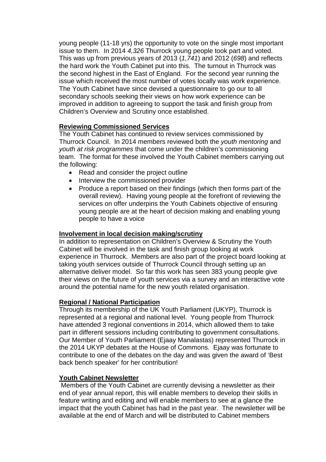young people (11-18 yrs) the opportunity to vote on the single most important issue to them. In 2014 *4,326* Thurrock young people took part and voted. This was up from previous years of 2013 (*1,741*) and 2012 (*698*) and reflects the hard work the Youth Cabinet put into this. The turnout in Thurrock was the second highest in the East of England. For the second year running the issue which received the most number of votes locally was work experience. The Youth Cabinet have since devised a questionnaire to go our to all secondary schools seeking their views on how work experience can be improved in addition to agreeing to support the task and finish group from Children's Overview and Scrutiny once established.

### **Reviewing Commissioned Services**

The Youth Cabinet has continued to review services commissioned by Thurrock Council. In 2014 members reviewed both the *youth mentoring* and *youth at risk programmes* that come under the children's commissioning team. The format for these involved the Youth Cabinet members carrying out the following:

- Read and consider the project outline
- Interview the commissioned provider
- Produce a report based on their findings (which then forms part of the overall review). Having young people at the forefront of reviewing the services on offer underpins the Youth Cabinets objective of ensuring young people are at the heart of decision making and enabling young people to have a voice

#### **Involvement in local decision making/scrutiny**

In addition to representation on Children's Overview & Scrutiny the Youth Cabinet will be involved in the task and finish group looking at work experience in Thurrock. Members are also part of the project board looking at taking youth services outside of Thurrock Council through setting up an alternative deliver model. So far this work has seen 383 young people give their views on the future of youth services via a survey and an interactive vote around the potential name for the new youth related organisation.

#### **Regional / National Participation**

Through its membership of the UK Youth Parliament (UKYP), Thurrock is represented at a regional and national level. Young people from Thurrock have attended 3 regional conventions in 2014, which allowed them to take part in different sessions including contributing to government consultations. Our Member of Youth Parliament (Ejaay Manalastas) represented Thurrock in the 2014 UKYP debates at the House of Commons. Ejaay was fortunate to contribute to one of the debates on the day and was given the award of 'Best back bench speaker' for her contribution!

#### **Youth Cabinet Newsletter**

Members of the Youth Cabinet are currently devising a newsletter as their end of year annual report, this will enable members to develop their skills in feature writing and editing and will enable members to see at a glance the impact that the youth Cabinet has had in the past year. The newsletter will be available at the end of March and will be distributed to Cabinet members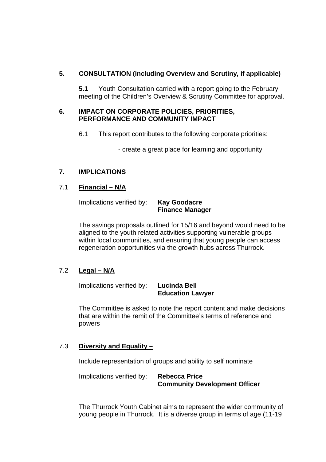# **5. CONSULTATION (including Overview and Scrutiny, if applicable)**

**5.1** Youth Consultation carried with a report going to the February meeting of the Children's Overview & Scrutiny Committee for approval.

#### **6. IMPACT ON CORPORATE POLICIES, PRIORITIES, PERFORMANCE AND COMMUNITY IMPACT**

6.1 This report contributes to the following corporate priorities:

- create a great place for learning and opportunity

# **7. IMPLICATIONS**

# 7.1 **Financial – N/A**

Implications verified by: **Kay Goodacre**

# **Finance Manager**

The savings proposals outlined for 15/16 and beyond would need to be aligned to the youth related activities supporting vulnerable groups within local communities, and ensuring that young people can access regeneration opportunities via the growth hubs across Thurrock.

# 7.2 **Legal – N/A**

Implications verified by: **Lucinda Bell**

# **Education Lawyer**

The Committee is asked to note the report content and make decisions that are within the remit of the Committee's terms of reference and powers

# 7.3 **Diversity and Equality –**

Include representation of groups and ability to self nominate

Implications verified by: **Rebecca Price Community Development Officer**

The Thurrock Youth Cabinet aims to represent the wider community of young people in Thurrock. It is a diverse group in terms of age (11-19